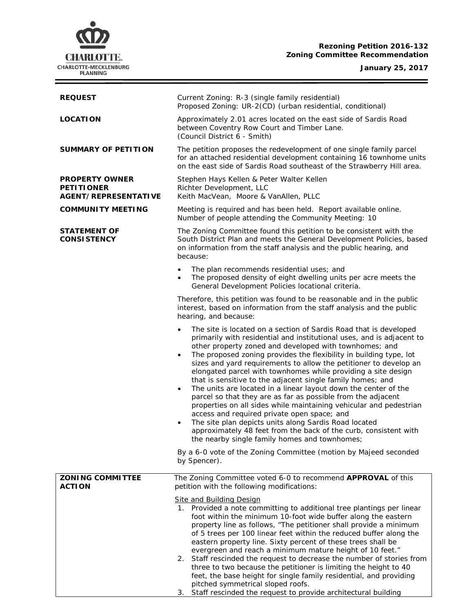# **CHARLOTTE.** CHARLOTTE-MECKLENBURG<br>PLANNING

## **Rezoning Petition 2016-132 Zoning Committee Recommendation**

## **January 25, 2017**

ł,

| <b>REQUEST</b>                                                     | Current Zoning: R-3 (single family residential)<br>Proposed Zoning: UR-2(CD) (urban residential, conditional)                                                                                                                                                                                                                                                                                                                                                                                                                                                                                                                                                                                                                                                                                                                                                                                                                                               |  |  |
|--------------------------------------------------------------------|-------------------------------------------------------------------------------------------------------------------------------------------------------------------------------------------------------------------------------------------------------------------------------------------------------------------------------------------------------------------------------------------------------------------------------------------------------------------------------------------------------------------------------------------------------------------------------------------------------------------------------------------------------------------------------------------------------------------------------------------------------------------------------------------------------------------------------------------------------------------------------------------------------------------------------------------------------------|--|--|
| <b>LOCATION</b>                                                    | Approximately 2.01 acres located on the east side of Sardis Road<br>between Coventry Row Court and Timber Lane.<br>(Council District 6 - Smith)                                                                                                                                                                                                                                                                                                                                                                                                                                                                                                                                                                                                                                                                                                                                                                                                             |  |  |
| <b>SUMMARY OF PETITION</b>                                         | The petition proposes the redevelopment of one single family parcel<br>for an attached residential development containing 16 townhome units<br>on the east side of Sardis Road southeast of the Strawberry Hill area.                                                                                                                                                                                                                                                                                                                                                                                                                                                                                                                                                                                                                                                                                                                                       |  |  |
| <b>PROPERTY OWNER</b><br><b>PETITIONER</b><br>AGENT/REPRESENTATIVE | Stephen Hays Kellen & Peter Walter Kellen<br>Richter Development, LLC<br>Keith MacVean, Moore & VanAllen, PLLC                                                                                                                                                                                                                                                                                                                                                                                                                                                                                                                                                                                                                                                                                                                                                                                                                                              |  |  |
| <b>COMMUNITY MEETING</b>                                           | Meeting is required and has been held. Report available online.<br>Number of people attending the Community Meeting: 10                                                                                                                                                                                                                                                                                                                                                                                                                                                                                                                                                                                                                                                                                                                                                                                                                                     |  |  |
| <b>STATEMENT OF</b><br><b>CONSISTENCY</b>                          | The Zoning Committee found this petition to be consistent with the<br>South District Plan and meets the General Development Policies, based<br>on information from the staff analysis and the public hearing, and<br>because:                                                                                                                                                                                                                                                                                                                                                                                                                                                                                                                                                                                                                                                                                                                               |  |  |
|                                                                    | The plan recommends residential uses; and<br>The proposed density of eight dwelling units per acre meets the<br>General Development Policies locational criteria.                                                                                                                                                                                                                                                                                                                                                                                                                                                                                                                                                                                                                                                                                                                                                                                           |  |  |
|                                                                    | Therefore, this petition was found to be reasonable and in the public<br>interest, based on information from the staff analysis and the public<br>hearing, and because:                                                                                                                                                                                                                                                                                                                                                                                                                                                                                                                                                                                                                                                                                                                                                                                     |  |  |
|                                                                    | The site is located on a section of Sardis Road that is developed<br>$\bullet$<br>primarily with residential and institutional uses, and is adjacent to<br>other property zoned and developed with townhomes; and<br>The proposed zoning provides the flexibility in building type, lot<br>sizes and yard requirements to allow the petitioner to develop an<br>elongated parcel with townhomes while providing a site design<br>that is sensitive to the adjacent single family homes; and<br>The units are located in a linear layout down the center of the<br>$\bullet$<br>parcel so that they are as far as possible from the adjacent<br>properties on all sides while maintaining vehicular and pedestrian<br>access and required private open space; and<br>The site plan depicts units along Sardis Road located<br>$\bullet$<br>approximately 48 feet from the back of the curb, consistent with<br>the nearby single family homes and townhomes; |  |  |
|                                                                    | By a 6-0 vote of the Zoning Committee (motion by Majeed seconded<br>by Spencer).                                                                                                                                                                                                                                                                                                                                                                                                                                                                                                                                                                                                                                                                                                                                                                                                                                                                            |  |  |
| <b>ZONING COMMITTEE</b><br><b>ACTION</b>                           | The Zoning Committee voted 6-0 to recommend APPROVAL of this<br>petition with the following modifications:                                                                                                                                                                                                                                                                                                                                                                                                                                                                                                                                                                                                                                                                                                                                                                                                                                                  |  |  |
|                                                                    | <b>Site and Building Design</b><br>1. Provided a note committing to additional tree plantings per linear<br>foot within the minimum 10-foot wide buffer along the eastern<br>property line as follows, "The petitioner shall provide a minimum<br>of 5 trees per 100 linear feet within the reduced buffer along the<br>eastern property line. Sixty percent of these trees shall be<br>evergreen and reach a minimum mature height of 10 feet."<br>2. Staff rescinded the request to decrease the number of stories from<br>three to two because the petitioner is limiting the height to 40<br>feet, the base height for single family residential, and providing<br>pitched symmetrical sloped roofs.<br>3. Staff rescinded the request to provide architectural building                                                                                                                                                                                |  |  |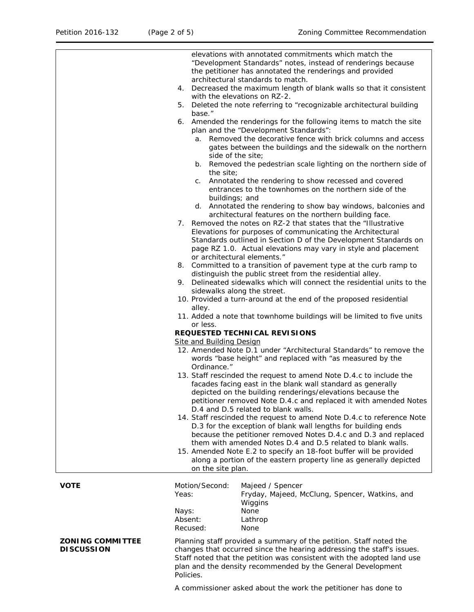|                                              | 5.<br>base."<br>а.<br>b.<br>the site;<br>C.<br>buildings; and<br>9.<br>alley. | elevations with annotated commitments which match the<br>"Development Standards" notes, instead of renderings because<br>the petitioner has annotated the renderings and provided<br>architectural standards to match.<br>4. Decreased the maximum length of blank walls so that it consistent<br>with the elevations on RZ-2.<br>Deleted the note referring to "recognizable architectural building<br>6. Amended the renderings for the following items to match the site<br>plan and the "Development Standards":<br>Removed the decorative fence with brick columns and access<br>gates between the buildings and the sidewalk on the northern<br>side of the site;<br>Removed the pedestrian scale lighting on the northern side of<br>Annotated the rendering to show recessed and covered<br>entrances to the townhomes on the northern side of the<br>d. Annotated the rendering to show bay windows, balconies and<br>architectural features on the northern building face.<br>7. Removed the notes on RZ-2 that states that the "Illustrative<br>Elevations for purposes of communicating the Architectural<br>Standards outlined in Section D of the Development Standards on<br>page RZ 1.0. Actual elevations may vary in style and placement<br>or architectural elements."<br>8. Committed to a transition of pavement type at the curb ramp to<br>distinguish the public street from the residential alley.<br>Delineated sidewalks which will connect the residential units to the<br>sidewalks along the street.<br>10. Provided a turn-around at the end of the proposed residential |  |
|----------------------------------------------|-------------------------------------------------------------------------------|---------------------------------------------------------------------------------------------------------------------------------------------------------------------------------------------------------------------------------------------------------------------------------------------------------------------------------------------------------------------------------------------------------------------------------------------------------------------------------------------------------------------------------------------------------------------------------------------------------------------------------------------------------------------------------------------------------------------------------------------------------------------------------------------------------------------------------------------------------------------------------------------------------------------------------------------------------------------------------------------------------------------------------------------------------------------------------------------------------------------------------------------------------------------------------------------------------------------------------------------------------------------------------------------------------------------------------------------------------------------------------------------------------------------------------------------------------------------------------------------------------------------------------------------------------------------------------------------------------|--|
|                                              |                                                                               | 11. Added a note that townhome buildings will be limited to five units                                                                                                                                                                                                                                                                                                                                                                                                                                                                                                                                                                                                                                                                                                                                                                                                                                                                                                                                                                                                                                                                                                                                                                                                                                                                                                                                                                                                                                                                                                                                  |  |
|                                              | or less.                                                                      |                                                                                                                                                                                                                                                                                                                                                                                                                                                                                                                                                                                                                                                                                                                                                                                                                                                                                                                                                                                                                                                                                                                                                                                                                                                                                                                                                                                                                                                                                                                                                                                                         |  |
| REQUESTED TECHNICAL REVISIONS                |                                                                               |                                                                                                                                                                                                                                                                                                                                                                                                                                                                                                                                                                                                                                                                                                                                                                                                                                                                                                                                                                                                                                                                                                                                                                                                                                                                                                                                                                                                                                                                                                                                                                                                         |  |
|                                              | <b>Site and Building Design</b><br>Ordinance."                                | 12. Amended Note D.1 under "Architectural Standards" to remove the<br>words "base height" and replaced with "as measured by the                                                                                                                                                                                                                                                                                                                                                                                                                                                                                                                                                                                                                                                                                                                                                                                                                                                                                                                                                                                                                                                                                                                                                                                                                                                                                                                                                                                                                                                                         |  |
|                                              | on the site plan.                                                             | 13. Staff rescinded the request to amend Note D.4.c to include the<br>facades facing east in the blank wall standard as generally<br>depicted on the building renderings/elevations because the<br>petitioner removed Note D.4.c and replaced it with amended Notes<br>D.4 and D.5 related to blank walls.<br>14. Staff rescinded the request to amend Note D.4.c to reference Note<br>D.3 for the exception of blank wall lengths for building ends<br>because the petitioner removed Notes D.4.c and D.3 and replaced<br>them with amended Notes D.4 and D.5 related to blank walls.<br>15. Amended Note E.2 to specify an 18-foot buffer will be provided<br>along a portion of the eastern property line as generally depicted                                                                                                                                                                                                                                                                                                                                                                                                                                                                                                                                                                                                                                                                                                                                                                                                                                                                      |  |
| <b>VOTE</b>                                  | Motion/Second:<br>Yeas:<br>Nays:                                              | Majeed / Spencer<br>Fryday, Majeed, McClung, Spencer, Watkins, and<br>Wiggins<br>None                                                                                                                                                                                                                                                                                                                                                                                                                                                                                                                                                                                                                                                                                                                                                                                                                                                                                                                                                                                                                                                                                                                                                                                                                                                                                                                                                                                                                                                                                                                   |  |
|                                              | Absent:                                                                       | Lathrop                                                                                                                                                                                                                                                                                                                                                                                                                                                                                                                                                                                                                                                                                                                                                                                                                                                                                                                                                                                                                                                                                                                                                                                                                                                                                                                                                                                                                                                                                                                                                                                                 |  |
| <b>ZONING COMMITTEE</b><br><b>DISCUSSION</b> | Recused:<br>Policies.                                                         | None<br>Planning staff provided a summary of the petition. Staff noted the<br>changes that occurred since the hearing addressing the staff's issues.<br>Staff noted that the petition was consistent with the adopted land use<br>plan and the density recommended by the General Development                                                                                                                                                                                                                                                                                                                                                                                                                                                                                                                                                                                                                                                                                                                                                                                                                                                                                                                                                                                                                                                                                                                                                                                                                                                                                                           |  |

A commissioner asked about the work the petitioner has done to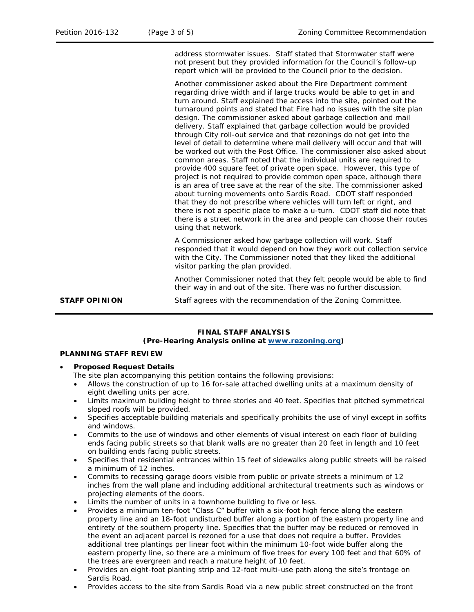address stormwater issues. Staff stated that Stormwater staff were not present but they provided information for the Council's follow-up report which will be provided to the Council prior to the decision.

Another commissioner asked about the Fire Department comment regarding drive width and if large trucks would be able to get in and turn around. Staff explained the access into the site, pointed out the turnaround points and stated that Fire had no issues with the site plan design. The commissioner asked about garbage collection and mail delivery. Staff explained that garbage collection would be provided through City roll-out service and that rezonings do not get into the level of detail to determine where mail delivery will occur and that will be worked out with the Post Office. The commissioner also asked about common areas. Staff noted that the individual units are required to provide 400 square feet of private open space. However, this type of project is not required to provide common open space, although there is an area of tree save at the rear of the site. The commissioner asked about turning movements onto Sardis Road. CDOT staff responded that they do not prescribe where vehicles will turn left or right, and there is not a specific place to make a u-turn. CDOT staff did note that there is a street network in the area and people can choose their routes using that network.

A Commissioner asked how garbage collection will work. Staff responded that it would depend on how they work out collection service with the City. The Commissioner noted that they liked the additional visitor parking the plan provided.

Another Commissioner noted that they felt people would be able to find their way in and out of the site. There was no further discussion.

**STAFF OPINION** Staff agrees with the recommendation of the Zoning Committee.

## **FINAL STAFF ANALYSIS**

## **(Pre-Hearing Analysis online at [www.rezoning.org\)](http://www.rezoning.org/)**

### **PLANNING STAFF REVIEW**

#### • **Proposed Request Details**

The site plan accompanying this petition contains the following provisions:

- Allows the construction of up to 16 for-sale attached dwelling units at a maximum density of eight dwelling units per acre.
- Limits maximum building height to three stories and 40 feet. Specifies that pitched symmetrical sloped roofs will be provided.
- Specifies acceptable building materials and specifically prohibits the use of vinyl except in soffits and windows.
- Commits to the use of windows and other elements of visual interest on each floor of building ends facing public streets so that blank walls are no greater than 20 feet in length and 10 feet on building ends facing public streets.
- Specifies that residential entrances within 15 feet of sidewalks along public streets will be raised a minimum of 12 inches.
- Commits to recessing garage doors visible from public or private streets a minimum of 12 inches from the wall plane and including additional architectural treatments such as windows or projecting elements of the doors.
- Limits the number of units in a townhome building to five or less.
- Provides a minimum ten-foot "Class C" buffer with a six-foot high fence along the eastern property line and an 18-foot undisturbed buffer along a portion of the eastern property line and entirety of the southern property line. Specifies that the buffer may be reduced or removed in the event an adjacent parcel is rezoned for a use that does not require a buffer. Provides additional tree plantings per linear foot within the minimum 10-foot wide buffer along the eastern property line, so there are a minimum of five trees for every 100 feet and that 60% of the trees are evergreen and reach a mature height of 10 feet.
- Provides an eight-foot planting strip and 12-foot multi-use path along the site's frontage on Sardis Road.
- Provides access to the site from Sardis Road via a new public street constructed on the front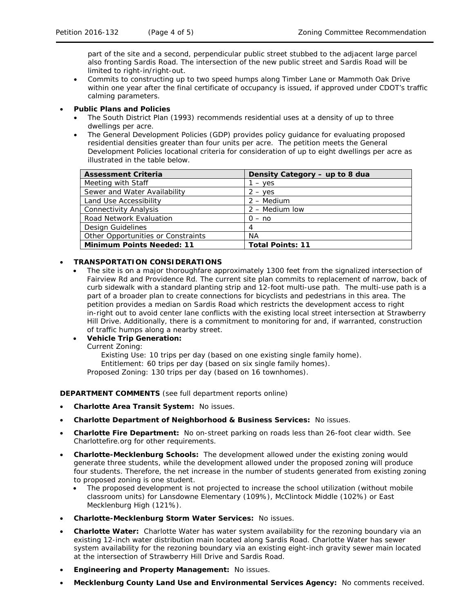part of the site and a second, perpendicular public street stubbed to the adjacent large parcel also fronting Sardis Road. The intersection of the new public street and Sardis Road will be limited to right-in/right-out.

• Commits to constructing up to two speed humps along Timber Lane or Mammoth Oak Drive within one year after the final certificate of occupancy is issued, if approved under CDOT's traffic calming parameters.

## • **Public Plans and Policies**

- The *South District Plan* (1993) recommends residential uses at a density of up to three dwellings per acre.
- The *General Development Policies* (GDP) provides policy guidance for evaluating proposed residential densities greater than four units per acre. The petition meets the *General Development Policies* locational criteria for consideration of up to eight dwellings per acre as illustrated in the table below.

| <b>Assessment Criteria</b>         | Density Category - up to 8 dua |
|------------------------------------|--------------------------------|
| Meeting with Staff                 | 1 – yes                        |
| Sewer and Water Availability       | $2 - \mathrm{ves}$             |
| Land Use Accessibility             | $2 - \text{Median}$            |
| <b>Connectivity Analysis</b>       | $2 -$ Medium low               |
| Road Network Evaluation            | $0 - no$                       |
| Design Guidelines                  | $\overline{4}$                 |
| Other Opportunities or Constraints | ΝA                             |
| <b>Minimum Points Needed: 11</b>   | <b>Total Points: 11</b>        |

## • **TRANSPORTATION CONSIDERATIONS**

• The site is on a major thoroughfare approximately 1300 feet from the signalized intersection of Fairview Rd and Providence Rd. The current site plan commits to replacement of narrow, back of curb sidewalk with a standard planting strip and 12-foot multi-use path. The multi-use path is a part of a broader plan to create connections for bicyclists and pedestrians in this area. The petition provides a median on Sardis Road which restricts the development access to right in-right out to avoid center lane conflicts with the existing local street intersection at Strawberry Hill Drive. Additionally, there is a commitment to monitoring for and, if warranted, construction of traffic humps along a nearby street.

#### • **Vehicle Trip Generation:** Current Zoning:

Existing Use: 10 trips per day (based on one existing single family home). Entitlement: 60 trips per day (based on six single family homes). Proposed Zoning: 130 trips per day (based on 16 townhomes).

#### **DEPARTMENT COMMENTS** (see full department reports online)

- **Charlotte Area Transit System:** No issues.
- **Charlotte Department of Neighborhood & Business Services:** No issues.
- **Charlotte Fire Department:** No on-street parking on roads less than 26-foot clear width. See Charlottefire.org for other requirements.
- **Charlotte-Mecklenburg Schools:** The development allowed under the existing zoning would generate three students, while the development allowed under the proposed zoning will produce four students. Therefore, the net increase in the number of students generated from existing zoning to proposed zoning is one student.
	- The proposed development is not projected to increase the school utilization (without mobile classroom units) for Lansdowne Elementary (109%), McClintock Middle (102%) or East Mecklenburg High (121%).
- **Charlotte-Mecklenburg Storm Water Services:** No issues.
- **Charlotte Water:** Charlotte Water has water system availability for the rezoning boundary via an existing 12-inch water distribution main located along Sardis Road. Charlotte Water has sewer system availability for the rezoning boundary via an existing eight-inch gravity sewer main located at the intersection of Strawberry Hill Drive and Sardis Road.
- **Engineering and Property Management:** No issues.
- **Mecklenburg County Land Use and Environmental Services Agency:** No comments received.